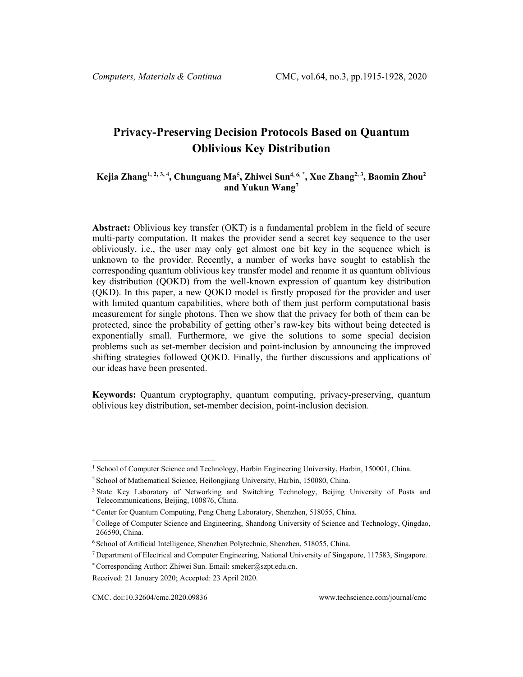# **Privacy-Preserving Decision Protocols Based on Quantum Oblivious Key Distribution**

# **Kejia Zhang[1](#page-0-0), [2](#page-0-1), [3](#page-0-2), 4 , Chunguang Ma5, Zhiwei Sun4, 6, \* , Xue Zhang2, 3, Baomin Zhou2 and Yukun Wang7**

**Abstract:** Oblivious key transfer (OKT) is a fundamental problem in the field of secure multi-party computation. It makes the provider send a secret key sequence to the user obliviously, i.e., the user may only get almost one bit key in the sequence which is unknown to the provider. Recently, a number of works have sought to establish the corresponding quantum oblivious key transfer model and rename it as quantum oblivious key distribution (QOKD) from the well-known expression of quantum key distribution (QKD). In this paper, a new QOKD model is firstly proposed for the provider and user with limited quantum capabilities, where both of them just perform computational basis measurement for single photons. Then we show that the privacy for both of them can be protected, since the probability of getting other's raw-key bits without being detected is exponentially small. Furthermore, we give the solutions to some special decision problems such as set-member decision and point-inclusion by announcing the improved shifting strategies followed QOKD. Finally, the further discussions and applications of our ideas have been presented.

**Keywords:** Quantum cryptography, quantum computing, privacy-preserving, quantum oblivious key distribution, set-member decision, point-inclusion decision.

<span id="page-0-0"></span><sup>&</sup>lt;sup>1</sup> School of Computer Science and Technology, Harbin Engineering University, Harbin, 150001, China.

<span id="page-0-1"></span><sup>2</sup> School of Mathematical Science, Heilongjiang University, Harbin, 150080, China.

<span id="page-0-2"></span><sup>&</sup>lt;sup>3</sup> State Key Laboratory of Networking and Switching Technology, Beijing University of Posts and Telecommunications, Beijing, 100876, China.

<sup>4</sup> Center for Quantum Computing, Peng Cheng Laboratory, Shenzhen, 518055, China.

<sup>5</sup> College of Computer Science and Engineering, Shandong University of Science and Technology, Qingdao, 266590, China.

<sup>6</sup> School of Artificial Intelligence, Shenzhen Polytechnic, Shenzhen, 518055, China.

<sup>7</sup> Department of Electrical and Computer Engineering, National University of Singapore, 117583, Singapore.

<sup>\*</sup> Corresponding Author: Zhiwei Sun. Email: smeker@szpt.edu.cn.

Received: 21 January 2020; Accepted: 23 April 2020.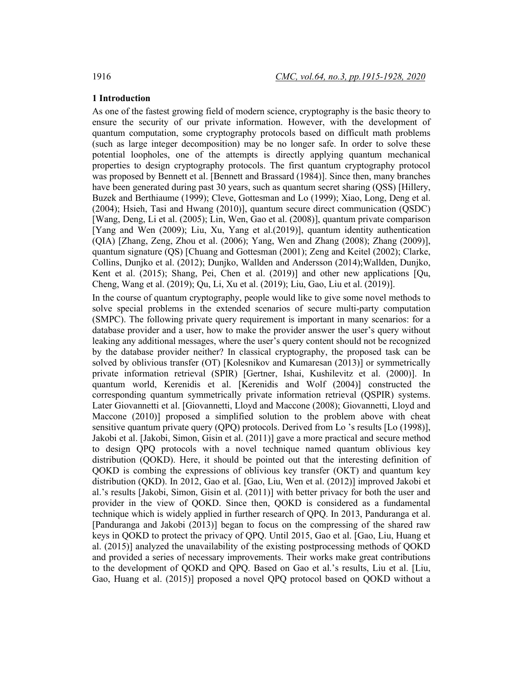## **1 Introduction**

As one of the fastest growing field of modern science, cryptography is the basic theory to ensure the security of our private information. However, with the development of quantum computation, some cryptography protocols based on difficult math problems (such as large integer decomposition) may be no longer safe. In order to solve these potential loopholes, one of the attempts is directly applying quantum mechanical properties to design cryptography protocols. The first quantum cryptography protocol was proposed by Bennett et al. [Bennett and Brassard (1984)]. Since then, many branches have been generated during past 30 years, such as quantum secret sharing (QSS) [Hillery, Buzek and Berthiaume (1999); Cleve, Gottesman and Lo (1999); Xiao, Long, Deng et al. (2004); Hsieh, Tasi and Hwang (2010)], quantum secure direct communication (QSDC) [Wang, Deng, Li et al. (2005); Lin, Wen, Gao et al. (2008)], quantum private comparison [Yang and Wen (2009); Liu, Xu, Yang et al.(2019)], quantum identity authentication (QIA) [Zhang, Zeng, Zhou et al. (2006); Yang, Wen and Zhang (2008); Zhang (2009)], quantum signature (QS) [Chuang and Gottesman (2001); Zeng and Keitel (2002); Clarke, Collins, Dunjko et al. (2012); Dunjko, Wallden and Andersson (2014);Wallden, Dunjko, Kent et al. (2015); Shang, Pei, Chen et al. (2019)] and other new applications [Qu, Cheng, Wang et al. (2019); Qu, Li, Xu et al. (2019); Liu, Gao, Liu et al. (2019)].

In the course of quantum cryptography, people would like to give some novel methods to solve special problems in the extended scenarios of secure multi-party computation (SMPC). The following private query requirement is important in many scenarios: for a database provider and a user, how to make the provider answer the user's query without leaking any additional messages, where the user's query content should not be recognized by the database provider neither? In classical cryptography, the proposed task can be solved by oblivious transfer (OT) [Kolesnikov and Kumaresan (2013)] or symmetrically private information retrieval (SPIR) [Gertner, Ishai, Kushilevitz et al. (2000)]. In quantum world, Kerenidis et al. [Kerenidis and Wolf (2004)] constructed the corresponding quantum symmetrically private information retrieval (QSPIR) systems. Later Giovannetti et al. [Giovannetti, Lloyd and Maccone (2008); Giovannetti, Lloyd and Maccone (2010)] proposed a simplified solution to the problem above with cheat sensitive quantum private query (QPQ) protocols. Derived from Lo 's results [Lo (1998)], Jakobi et al. [Jakobi, Simon, Gisin et al. (2011)] gave a more practical and secure method to design QPQ protocols with a novel technique named quantum oblivious key distribution (QOKD). Here, it should be pointed out that the interesting definition of QOKD is combing the expressions of oblivious key transfer (OKT) and quantum key distribution (QKD). In 2012, Gao et al. [Gao, Liu, Wen et al. (2012)] improved Jakobi et al.'s results [Jakobi, Simon, Gisin et al. (2011)] with better privacy for both the user and provider in the view of QOKD. Since then, QOKD is considered as a fundamental technique which is widely applied in further research of QPQ. In 2013, Panduranga et al. [Panduranga and Jakobi (2013)] began to focus on the compressing of the shared raw keys in QOKD to protect the privacy of QPQ. Until 2015, Gao et al. [Gao, Liu, Huang et al. (2015)] analyzed the unavailability of the existing postprocessing methods of QOKD and provided a series of necessary improvements. Their works make great contributions to the development of QOKD and QPQ. Based on Gao et al.'s results, Liu et al. [Liu, Gao, Huang et al. (2015)] proposed a novel QPQ protocol based on QOKD without a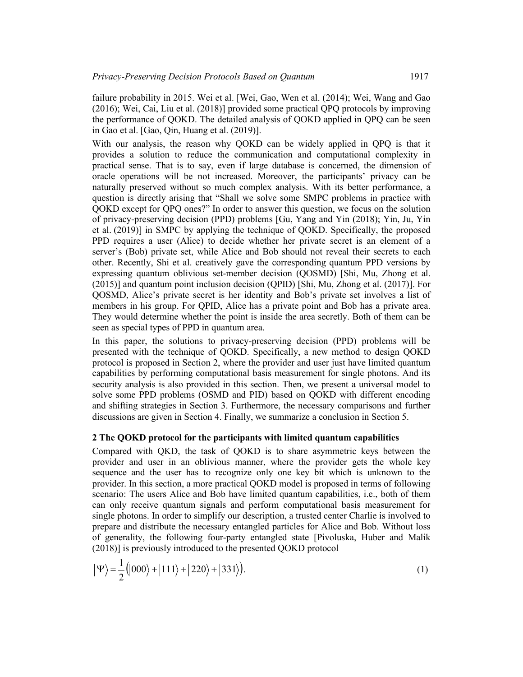failure probability in 2015. Wei et al. [Wei, Gao, Wen et al. (2014); Wei, Wang and Gao (2016); Wei, Cai, Liu et al. (2018)] provided some practical QPQ protocols by improving the performance of QOKD. The detailed analysis of QOKD applied in QPQ can be seen in Gao et al. [Gao, Qin, Huang et al. (2019)].

With our analysis, the reason why QOKD can be widely applied in QPQ is that it provides a solution to reduce the communication and computational complexity in practical sense. That is to say, even if large database is concerned, the dimension of oracle operations will be not increased. Moreover, the participants' privacy can be naturally preserved without so much complex analysis. With its better performance, a question is directly arising that "Shall we solve some SMPC problems in practice with QOKD except for QPQ ones?" In order to answer this question, we focus on the solution of privacy-preserving decision (PPD) problems [Gu, Yang and Yin (2018); Yin, Ju, Yin et al. (2019)] in SMPC by applying the technique of QOKD. Specifically, the proposed PPD requires a user (Alice) to decide whether her private secret is an element of a server's (Bob) private set, while Alice and Bob should not reveal their secrets to each other. Recently, Shi et al. creatively gave the corresponding quantum PPD versions by expressing quantum oblivious set-member decision (QOSMD) [Shi, Mu, Zhong et al. (2015)] and quantum point inclusion decision (QPID) [Shi, Mu, Zhong et al. (2017)]. For QOSMD, Alice's private secret is her identity and Bob's private set involves a list of members in his group. For QPID, Alice has a private point and Bob has a private area. They would determine whether the point is inside the area secretly. Both of them can be seen as special types of PPD in quantum area.

In this paper, the solutions to privacy-preserving decision (PPD) problems will be presented with the technique of QOKD. Specifically, a new method to design QOKD protocol is proposed in Section 2, where the provider and user just have limited quantum capabilities by performing computational basis measurement for single photons. And its security analysis is also provided in this section. Then, we present a universal model to solve some PPD problems (OSMD and PID) based on QOKD with different encoding and shifting strategies in Section 3. Furthermore, the necessary comparisons and further discussions are given in Section 4. Finally, we summarize a conclusion in Section 5.

## **2 The QOKD protocol for the participants with limited quantum capabilities**

Compared with QKD, the task of QOKD is to share asymmetric keys between the provider and user in an oblivious manner, where the provider gets the whole key sequence and the user has to recognize only one key bit which is unknown to the provider. In this section, a more practical QOKD model is proposed in terms of following scenario: The users Alice and Bob have limited quantum capabilities, i.e., both of them can only receive quantum signals and perform computational basis measurement for single photons. In order to simplify our description, a trusted center Charlie is involved to prepare and distribute the necessary entangled particles for Alice and Bob. Without loss of generality, the following four-party entangled state [Pivoluska, Huber and Malik (2018)] is previously introduced to the presented QOKD protocol

$$
|\Psi\rangle = \frac{1}{2} (|000\rangle + |111\rangle + |220\rangle + |331\rangle). \tag{1}
$$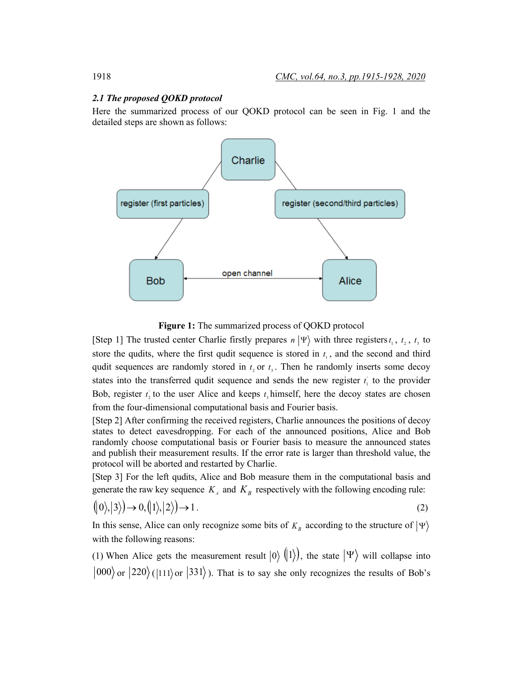#### *2.1 The proposed QOKD protocol*

Here the summarized process of our QOKD protocol can be seen in Fig. 1 and the detailed steps are shown as follows:



**Figure 1:** The summarized process of QOKD protocol

[Step 1] The trusted center Charlie firstly prepares  $n | \Psi \rangle$  with three registers  $t_1, t_2, t_3$  to store the qudits, where the first qudit sequence is stored in  $t<sub>1</sub>$ , and the second and third qudit sequences are randomly stored in  $t<sub>2</sub>$  or  $t<sub>3</sub>$ . Then he randomly inserts some decoy states into the transferred qudit sequence and sends the new register  $t_i$  to the provider Bob, register  $t_2$  to the user Alice and keeps  $t_3$  himself, here the decoy states are chosen from the four-dimensional computational basis and Fourier basis.

[Step 2] After confirming the received registers, Charlie announces the positions of decoy states to detect eavesdropping. For each of the announced positions, Alice and Bob randomly choose computational basis or Fourier basis to measure the announced states and publish their measurement results. If the error rate is larger than threshold value, the protocol will be aborted and restarted by Charlie.

[Step 3] For the left qudits, Alice and Bob measure them in the computational basis and generate the raw key sequence  $K_A$  and  $K_B$  respectively with the following encoding rule:

$$
(|0\rangle, |3\rangle) \rightarrow 0, (|1\rangle, |2\rangle) \rightarrow 1. \tag{2}
$$

In this sense, Alice can only recognize some bits of  $K_B$  according to the structure of  $|\Psi\rangle$ with the following reasons:

(1) When Alice gets the measurement result  $|0\rangle$   $(|1\rangle)$ , the state  $|\Psi\rangle$  will collapse into  $|000\rangle$  or  $|220\rangle$  ( $|111\rangle$  or  $|331\rangle$ ). That is to say she only recognizes the results of Bob's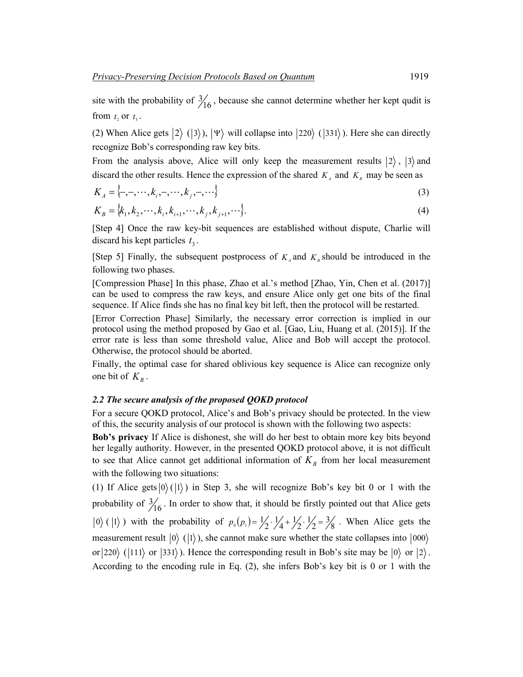site with the probability of  $\frac{3}{16}$ , because she cannot determine whether her kept qudit is from  $t$ , or  $t$ <sub>3</sub>.

(2) When Alice gets  $|2\rangle$  ( $|3\rangle$ ),  $|\Psi\rangle$  will collapse into  $|220\rangle$  ( $|331\rangle$ ). Here she can directly recognize Bob's corresponding raw key bits.

From the analysis above, Alice will only keep the measurement results  $|2\rangle$ ,  $|3\rangle$  and discard the other results. Hence the expression of the shared  $K_A$  and  $K_B$  may be seen as

$$
K_A = \{-,-,\cdots,k_i,-,\cdots,k_j,-,\cdots\}
$$
 (3)

$$
K_{B} = \{k_{1}, k_{2}, \cdots, k_{i}, k_{i+1}, \cdots, k_{j}, k_{j+1}, \cdots\}.
$$
\n(4)

[Step 4] Once the raw key-bit sequences are established without dispute, Charlie will discard his kept particles  $t_3$ .

[Step 5] Finally, the subsequent postprocess of  $K_A$  and  $K_B$  should be introduced in the following two phases.

[Compression Phase] In this phase, Zhao et al.'s method [Zhao, Yin, Chen et al. (2017)] can be used to compress the raw keys, and ensure Alice only get one bits of the final sequence. If Alice finds she has no final key bit left, then the protocol will be restarted.

[Error Correction Phase] Similarly, the necessary error correction is implied in our protocol using the method proposed by Gao et al. [Gao, Liu, Huang et al. (2015)]. If the error rate is less than some threshold value, Alice and Bob will accept the protocol. Otherwise, the protocol should be aborted.

Finally, the optimal case for shared oblivious key sequence is Alice can recognize only one bit of  $K_B$ .

#### *2.2 The secure analysis of the proposed QOKD protocol*

For a secure QOKD protocol, Alice's and Bob's privacy should be protected. In the view of this, the security analysis of our protocol is shown with the following two aspects:

**Bob's privacy** If Alice is dishonest, she will do her best to obtain more key bits beyond her legally authority. However, in the presented QOKD protocol above, it is not difficult to see that Alice cannot get additional information of  $K_B$  from her local measurement with the following two situations:

(1) If Alice gets  $|0\rangle (|1\rangle)$  in Step 3, she will recognize Bob's key bit 0 or 1 with the probability of  $\frac{3}{16}$ . In order to show that, it should be firstly pointed out that Alice gets 0) ( $|1\rangle$ ) with the probability of  $p_0(p_1) = \frac{1}{2} \cdot \frac{1}{4} + \frac{1}{2} \cdot \frac{1}{2} = \frac{3}{8}$ . When Alice gets the measurement result  $|0\rangle$  ( $|1\rangle$ ), she cannot make sure whether the state collapses into  $|000\rangle$ or  $|220\rangle$  ( $|111\rangle$  or  $|331\rangle$ ). Hence the corresponding result in Bob's site may be  $|0\rangle$  or  $|2\rangle$ . According to the encoding rule in Eq. (2), she infers Bob's key bit is 0 or 1 with the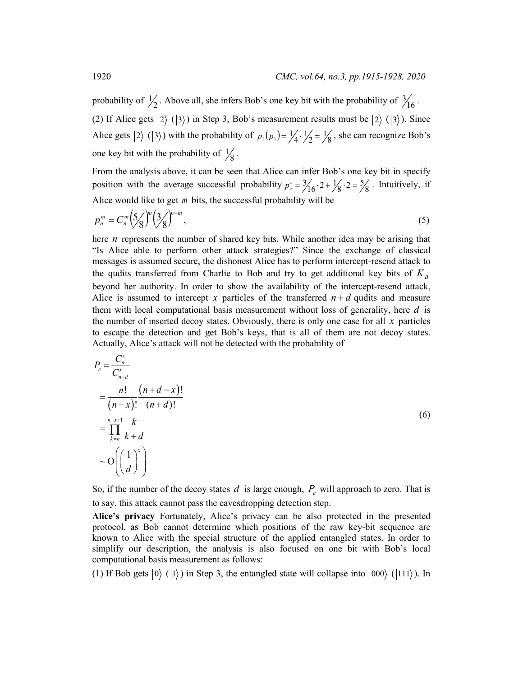probability of  $\frac{1}{2}$ . Above all, she infers Bob's one key bit with the probability of  $\frac{3}{16}$ . (2) If Alice gets  $|2\rangle$  ( $|3\rangle$ ) in Step 3, Bob's measurement results must be  $|2\rangle$  ( $|3\rangle$ ). Since Alice gets  $|2\rangle$  ( $|3\rangle$ ) with the probability of  $p_2(p_3) = \frac{1}{4} \cdot \frac{1}{2} = \frac{1}{8}$ , she can recognize Bob's one key bit with the probability of  $\frac{1}{8}$ .

From the analysis above, it can be seen that Alice can infer Bob's one key bit in specify position with the average successful probability  $p_a^s = \frac{3}{16} \cdot 2 + \frac{1}{8} \cdot 2 = \frac{5}{8}$ . Intuitively, if Alice would like to get *m* bits, the successful probability will be

$$
p_a^m = C_n^m \left(\frac{5}{8}\right)^m \left(\frac{3}{8}\right)^{n-m},\tag{5}
$$

here *n* represents the number of shared key bits. While another idea may be arising that "Is Alice able to perform other attack strategies?" Since the exchange of classical messages is assumed secure, the dishonest Alice has to perform intercept-resend attack to the qudits transferred from Charlie to Bob and try to get additional key bits of  $K<sub>B</sub>$ beyond her authority. In order to show the availability of the intercept-resend attack, Alice is assumed to intercept *x* particles of the transferred  $n+d$  qudits and measure them with local computational basis measurement without loss of generality, here *d* is the number of inserted decoy states. Obviously, there is only one case for all *x* particles to escape the detection and get Bob's keys, that is all of them are not decoy states. Actually, Alice's attack will not be detected with the probability of

$$
P_e = \frac{C_n^x}{C_{n+d}^x}
$$
  
= 
$$
\frac{n!}{(n-x)!} \frac{(n+d-x)!}{(n+d)!}
$$
  
= 
$$
\prod_{k=n}^{n-x+1} \frac{k}{k+d}
$$
  

$$
\sim O\left(\left(\frac{1}{d}\right)^x\right)
$$
 (6)

So, if the number of the decoy states  $d$  is large enough,  $P_e$  will approach to zero. That is to say, this attack cannot pass the eavesdropping detection step.

**Alice's privacy** Fortunately, Alice's privacy can be also protected in the presented protocol, as Bob cannot determine which positions of the raw key-bit sequence are known to Alice with the special structure of the applied entangled states. In order to simplify our description, the analysis is also focused on one bit with Bob's local computational basis measurement as follows:

(1) If Bob gets  $|0\rangle$  ( $|1\rangle$ ) in Step 3, the entangled state will collapse into  $|000\rangle$  ( $|111\rangle$ ). In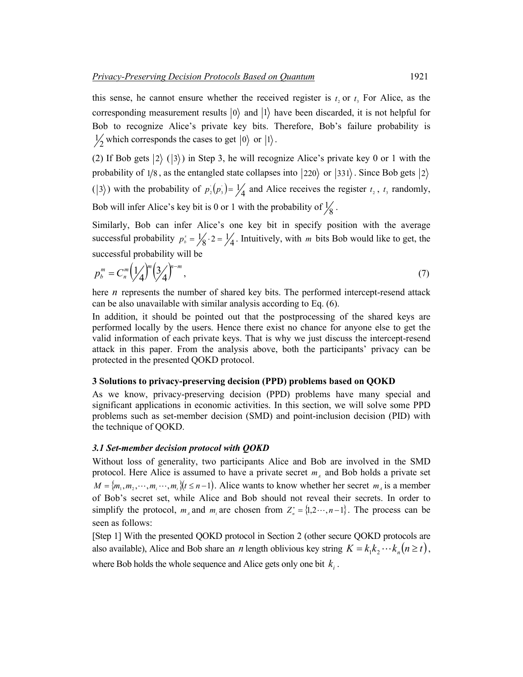this sense, he cannot ensure whether the received register is  $t_2$  or  $t_3$ . For Alice, as the corresponding measurement results  $|0\rangle$  and  $|1\rangle$  have been discarded, it is not helpful for Bob to recognize Alice's private key bits. Therefore, Bob's failure probability is  $\frac{1}{2}$  which corresponds the cases to get  $|0\rangle$  or  $|1\rangle$ .

(2) If Bob gets  $|2\rangle$  ( $|3\rangle$ ) in Step 3, he will recognize Alice's private key 0 or 1 with the probability of 1/8, as the entangled state collapses into  $|220\rangle$  or  $|331\rangle$ . Since Bob gets  $|2\rangle$  $( |3\rangle )$  with the probability of  $p_2(p_3) = \frac{1}{4}$  and Alice receives the register  $t_2$ ,  $t_3$  randomly, Bob will infer Alice's key bit is 0 or 1 with the probability of  $\frac{1}{8}$ .

Similarly, Bob can infer Alice's one key bit in specify position with the average successful probability  $p_b^s = \frac{1}{8} \cdot 2 = \frac{1}{4}$ . Intuitively, with *m* bits Bob would like to get, the successful probability will be

$$
p_b^m = C_n^m \left(\frac{1}{4}\right)^m \left(\frac{3}{4}\right)^{n-m},\tag{7}
$$

here *n* represents the number of shared key bits. The performed intercept-resend attack can be also unavailable with similar analysis according to Eq. (6).

In addition, it should be pointed out that the postprocessing of the shared keys are performed locally by the users. Hence there exist no chance for anyone else to get the valid information of each private keys. That is why we just discuss the intercept-resend attack in this paper. From the analysis above, both the participants' privacy can be protected in the presented QOKD protocol.

## **3 Solutions to privacy-preserving decision (PPD) problems based on QOKD**

As we know, privacy-preserving decision (PPD) problems have many special and significant applications in economic activities. In this section, we will solve some PPD problems such as set-member decision (SMD) and point-inclusion decision (PID) with the technique of QOKD.

## *3.1 Set-member decision protocol with QOKD*

Without loss of generality, two participants Alice and Bob are involved in the SMD protocol. Here Alice is assumed to have a private secret  $m_A$  and Bob holds a private set  $M = \{m_1, m_2, \dots, m_i, \dots, m_k\}$   $(t \leq n-1)$ . Alice wants to know whether her secret  $m_A$  is a member of Bob's secret set, while Alice and Bob should not reveal their secrets. In order to simplify the protocol,  $m_A$  and  $m_A$  are chosen from  $Z_i^* = \{1, 2, \dots, n-1\}$ . The process can be seen as follows:

[Step 1] With the presented QOKD protocol in Section 2 (other secure QOKD protocols are also available), Alice and Bob share an *n* length oblivious key string  $K = k_1 k_2 \cdots k_n (n \ge t)$ ,

where Bob holds the whole sequence and Alice gets only one bit  $k_i$ .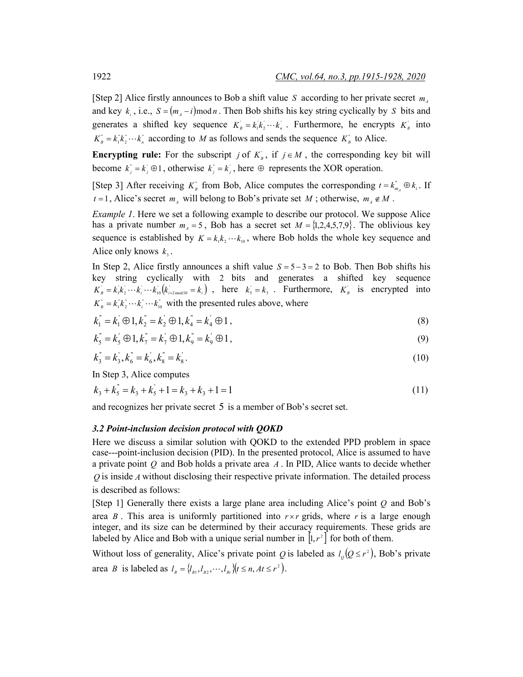[Step 2] Alice firstly announces to Bob a shift value *S* according to her private secret  $m_A$ and key  $k_i$ , i.e.,  $S = (m_A - i) \mod n$ . Then Bob shifts his key string cyclically by *S* bits and generates a shifted key sequence  $K_{B} = k_{1} k_{2} \cdots k_{n}$ . Furthermore, he encrypts  $K_{B}$  into  $K_{B}^{n} = k_{1}^{n}k_{2}^{n} \cdots k_{n}^{n}$  according to *M* as follows and sends the sequence  $K_{B}^{n}$  to Alice.

**Encrypting rule:** For the subscript *j* of  $K_{B}$ , if  $j \in M$ , the corresponding key bit will become  $k_j = k_j \oplus 1$ , otherwise  $k_j = k_j$ , here  $\oplus$  represents the XOR operation.

[Step 3] After receiving  $K_{B}^{n}$  from Bob, Alice computes the corresponding  $t = k_{m_A}^{n} \oplus k_i$ . If  $t = 1$ , Alice's secret  $m_A$  will belong to Bob's private set *M*; otherwise,  $m_A \notin M$ .

*Example 1*. Here we set a following example to describe our protocol. We suppose Alice has a private number  $m_A = 5$ , Bob has a secret set  $M = \{1, 2, 4, 5, 7, 9\}$ . The oblivious key sequence is established by  $K = k_1 k_2 \cdots k_{10}$ , where Bob holds the whole key sequence and Alice only knows  $k<sub>3</sub>$ .

In Step 2, Alice firstly announces a shift value *S* = 5 − 3 = 2 to Bob. Then Bob shifts his key string cyclically with 2 bits and generates a shifted key sequence  $K_{\scriptscriptstyle B} = k_1 k_2 \cdots k_i \cdots k_{\scriptscriptstyle 10} (k_{\scriptscriptstyle i+2 \text{ mod } 10} = k_i)$ , here  $k_{\scriptscriptstyle S} = k_3$ . Furthermore,  $K_{\scriptscriptstyle B}$  is encrypted into  $K_{B}^{*} = k_{i}^{*}k_{i}^{*} \cdots k_{i}^{*} \cdots k_{i0}^{*}$  with the presented rules above, where

$$
k_1^{\prime\prime} = k_1^{\prime} \oplus 1, k_2^{\prime\prime} = k_2^{\prime} \oplus 1, k_4^{\prime\prime} = k_4^{\prime} \oplus 1,
$$
\n(8)

$$
k_5 = k_5 \oplus 1, k_7 = k_7 \oplus 1, k_9 = k_9 \oplus 1,
$$
\n(9)

$$
k_3^{"}=k_3^{'}, k_6^{"}=k_6^{'}, k_8^{"}=k_8^{'}. \tag{10}
$$

In Step 3, Alice computes

$$
k_3 + k_5 = k_3 + k_5 + 1 = k_3 + k_3 + 1 = 1
$$
\n<sup>(11)</sup>

and recognizes her private secret 5 is a member of Bob's secret set.

## *3.2 Point-inclusion decision protocol with QOKD*

Here we discuss a similar solution with QOKD to the extended PPD problem in space case---point-inclusion decision (PID). In the presented protocol, Alice is assumed to have a private point *Q* and Bob holds a private area *A* . In PID, Alice wants to decide whether *Q* is inside *A* without disclosing their respective private information. The detailed process is described as follows:

[Step 1] Generally there exists a large plane area including Alice's point *Q* and Bob's area *B*. This area is uniformly partitioned into  $r \times r$  grids, where *r* is a large enough integer, and its size can be determined by their accuracy requirements. These grids are labeled by Alice and Bob with a unique serial number in  $[1, r^2]$  for both of them.

Without loss of generality, Alice's private point *Q* is labeled as  $l_{\varrho} (Q \leq r^2)$ , Bob's private area *B* is labeled as  $l_{B} = \{l_{B1}, l_{B2}, \cdots, l_{Bt}\}$   $(t \le n, At \le r^{2})$ .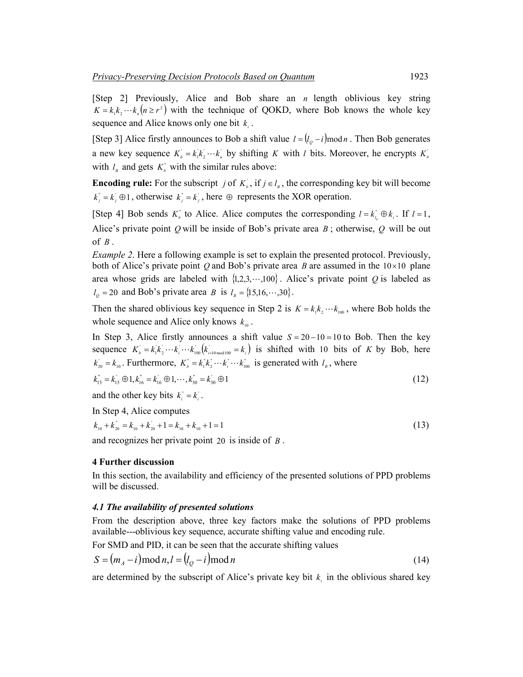[Step 2] Previously, Alice and Bob share an *n* length oblivious key string  $K = k_1 k_2 \cdots k_n (n \ge r^2)$  with the technique of QOKD, where Bob knows the whole key sequence and Alice knows only one bit *<sup>i</sup> k* .

[Step 3] Alice firstly announces to Bob a shift value  $l = (l_o - i) \mod n$ . Then Bob generates a new key sequence  $K_b = k_1 k_2 \cdots k_n$  by shifting *K* with *l* bits. Moreover, he encrypts  $K_b$ with  $l_{\scriptscriptstyle B}$  and gets  $K_{\scriptscriptstyle b}$  with the similar rules above:

**Encoding rule:** For the subscript *j* of  $K_b$ , if  $j \in l_a$ , the corresponding key bit will become  $k_j = k_j \oplus 1$ , otherwise  $k_j = k_j$ , here  $\oplus$  represents the XOR operation.

[Step 4] Bob sends  $K_i^*$  to Alice. Alice computes the corresponding  $l = k_{l_o}^* \oplus k_i$ . If  $l = 1$ , Alice's private point *Q* will be inside of Bob's private area *B* ; otherwise, *Q* will be out of  $B$ .

*Example* 2. Here a following example is set to explain the presented protocol. Previously, both of Alice's private point *Q* and Bob's private area *B* are assumed in the 10×10 plane area whose grids are labeled with  $\{1,2,3,\dots,100\}$ . Alice's private point *Q* is labeled as  $l_0 = 20$  and Bob's private area *B* is  $l_B = \{15, 16, \dots, 30\}.$ 

Then the shared oblivious key sequence in Step 2 is  $K = k_1 k_2 \cdots k_{100}$ , where Bob holds the whole sequence and Alice only knows  $k_{\text{no}}$ .

In Step 3, Alice firstly announces a shift value  $S = 20 - 10 = 10$  to Bob. Then the key sequence  $K_b = k_1 k_2 \cdots k_i \cdots k_{100} (k_{i+10 \text{ mod } 100} = k_i)$  is shifted with 10 bits of *K* by Bob, here  $k_{20} = k_{10}$ . Furthermore,  $K_b^* = k_1^* k_2^* \cdots k_i^* \cdots k_{100}^*$  is generated with  $l_a$ , where

$$
k_{15}^{\dagger} = k_{15}^{\dagger} \oplus 1, k_{16}^{\dagger} = k_{16}^{\dagger} \oplus 1, \cdots, k_{30}^{\dagger} = k_{30}^{\dagger} \oplus 1 \tag{12}
$$

and the other key bits  $k_i = k_i$ .

In Step 4, Alice computes

 $k_{10} + k_{20}^{\dagger} = k_{10} + k_{20}^{\dagger} + 1 = k_{10} + k_{10} + 1 = 1$  (13)

and recognizes her private point 20 is inside of *B* .

#### **4 Further discussion**

In this section, the availability and efficiency of the presented solutions of PPD problems will be discussed.

#### *4.1 The availability of presented solutions*

From the description above, three key factors make the solutions of PPD problems available---oblivious key sequence, accurate shifting value and encoding rule.

For SMD and PID, it can be seen that the accurate shifting values

$$
S = (m_A - i) \operatorname{mod} n, l = (l_Q - i) \operatorname{mod} n
$$
\n<sup>(14)</sup>

are determined by the subscript of Alice's private key bit  $k<sub>i</sub>$  in the oblivious shared key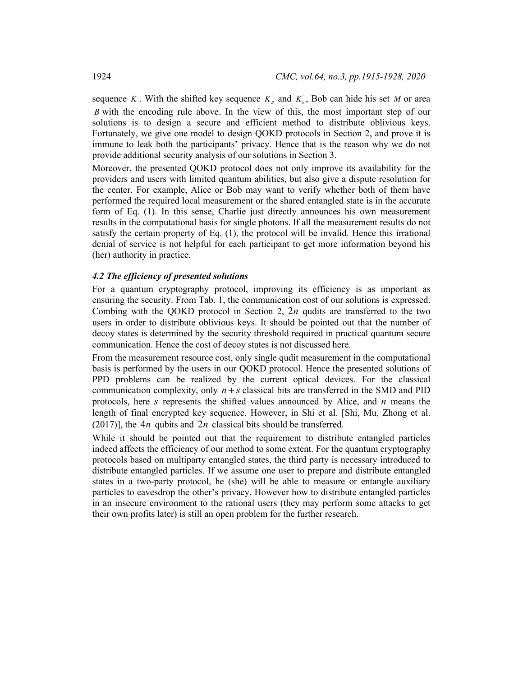sequence *K*. With the shifted key sequence  $K<sub>B</sub>$  and  $K<sub>b</sub>$ , Bob can hide his set *M* or area *B* with the encoding rule above. In the view of this, the most important step of our solutions is to design a secure and efficient method to distribute oblivious keys. Fortunately, we give one model to design QOKD protocols in Section 2, and prove it is immune to leak both the participants' privacy. Hence that is the reason why we do not provide additional security analysis of our solutions in Section 3.

Moreover, the presented QOKD protocol does not only improve its availability for the providers and users with limited quantum abilities, but also give a dispute resolution for the center. For example, Alice or Bob may want to verify whether both of them have performed the required local measurement or the shared entangled state is in the accurate form of Eq. (1). In this sense, Charlie just directly announces his own measurement results in the computational basis for single photons. If all the measurement results do not satisfy the certain property of Eq. (1), the protocol will be invalid. Hence this irrational denial of service is not helpful for each participant to get more information beyond his (her) authority in practice.

## *4.2 The efficiency of presented solutions*

For a quantum cryptography protocol, improving its efficiency is as important as ensuring the security. From Tab. 1, the communication cost of our solutions is expressed. Combing with the QOKD protocol in Section 2,  $2n$  qudits are transferred to the two users in order to distribute oblivious keys. It should be pointed out that the number of decoy states is determined by the security threshold required in practical quantum secure communication. Hence the cost of decoy states is not discussed here.

From the measurement resource cost, only single qudit measurement in the computational basis is performed by the users in our QOKD protocol. Hence the presented solutions of PPD problems can be realized by the current optical devices. For the classical communication complexity, only  $n + s$  classical bits are transferred in the SMD and PID protocols, here *s* represents the shifted values announced by Alice, and *n* means the length of final encrypted key sequence. However, in Shi et al. [Shi, Mu, Zhong et al. (2017)], the  $4n$  qubits and  $2n$  classical bits should be transferred.

While it should be pointed out that the requirement to distribute entangled particles indeed affects the efficiency of our method to some extent. For the quantum cryptography protocols based on multiparty entangled states, the third party is necessary introduced to distribute entangled particles. If we assume one user to prepare and distribute entangled states in a two-party protocol, he (she) will be able to measure or entangle auxiliary particles to eavesdrop the other's privacy. However how to distribute entangled particles in an insecure environment to the rational users (they may perform some attacks to get their own profits later) is still an open problem for the further research.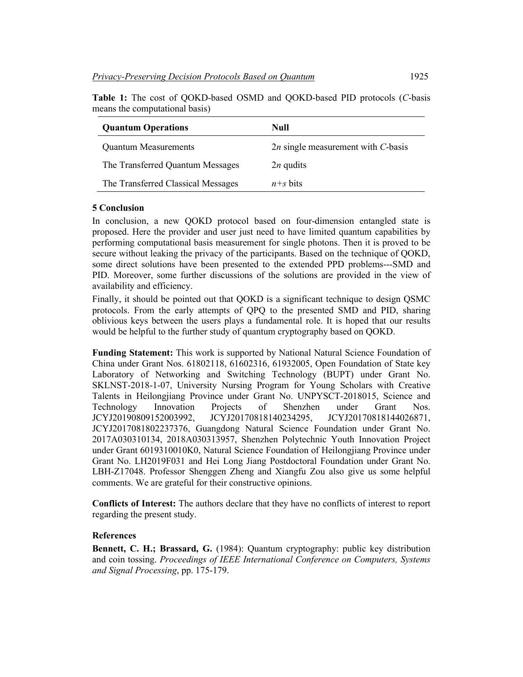The Transferred Classical Messages *n+s* bits

| <b>Quantum Operations</b>        | Null                                 |
|----------------------------------|--------------------------------------|
| <b>Quantum Measurements</b>      | $2n$ single measurement with C-basis |
| The Transferred Quantum Messages | $2n$ qudits                          |

**Table 1:** The cost of QOKD-based OSMD and QOKD-based PID protocols (*C*-basis means the computational basis)

# **5 Conclusion**

In conclusion, a new QOKD protocol based on four-dimension entangled state is proposed. Here the provider and user just need to have limited quantum capabilities by performing computational basis measurement for single photons. Then it is proved to be secure without leaking the privacy of the participants. Based on the technique of QOKD, some direct solutions have been presented to the extended PPD problems---SMD and PID. Moreover, some further discussions of the solutions are provided in the view of availability and efficiency.

Finally, it should be pointed out that QOKD is a significant technique to design QSMC protocols. From the early attempts of QPQ to the presented SMD and PID, sharing oblivious keys between the users plays a fundamental role. It is hoped that our results would be helpful to the further study of quantum cryptography based on QOKD.

**Funding Statement:** This work is supported by National Natural Science Foundation of China under Grant Nos. 61802118, 61602316, 61932005, Open Foundation of State key Laboratory of Networking and Switching Technology (BUPT) under Grant No. SKLNST-2018-1-07, University Nursing Program for Young Scholars with Creative Talents in Heilongjiang Province under Grant No. UNPYSCT-2018015, Science and Technology Innovation Projects of Shenzhen under Grant Nos. JCYJ20190809152003992, JCYJ20170818140234295, JCYJ20170818144026871, JCYJ2017081802237376, Guangdong Natural Science Foundation under Grant No. 2017A030310134, 2018A030313957, Shenzhen Polytechnic Youth Innovation Project under Grant 6019310010K0, Natural Science Foundation of Heilongjiang Province under Grant No. LH2019F031 and Hei Long Jiang Postdoctoral Foundation under Grant No. LBH-Z17048. Professor Shenggen Zheng and Xiangfu Zou also give us some helpful comments. We are grateful for their constructive opinions.

**Conflicts of Interest:** The authors declare that they have no conflicts of interest to report regarding the present study.

## **References**

**Bennett, C. H.; Brassard, G.** (1984): Quantum cryptography: public key distribution and coin tossing. *Proceedings of IEEE International Conference on Computers, Systems and Signal Processing*, pp. 175-179.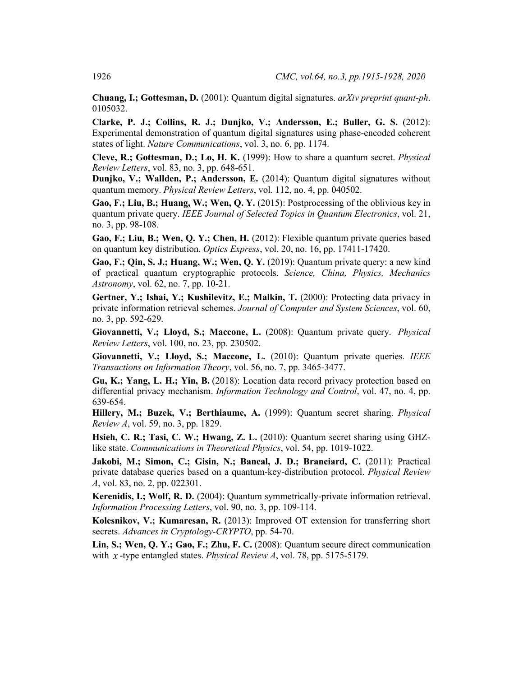**Chuang, I.; Gottesman, D.** (2001): Quantum digital signatures. *arXiv preprint quant-ph*. 0105032.

**Clarke, P. J.; Collins, R. J.; Dunjko, V.; Andersson, E.; Buller, G. S.** (2012): Experimental demonstration of quantum digital signatures using phase-encoded coherent states of light. *Nature Communications*, vol. 3, no. 6, pp. 1174.

**Cleve, R.; Gottesman, D.; Lo, H. K.** (1999): How to share a quantum secret. *Physical Review Letters*, vol. 83, no. 3, pp. 648-651.

**Dunjko, V.; Wallden, P.; Andersson, E.** (2014): Quantum digital signatures without quantum memory. *Physical Review Letters*, vol. 112, no. 4, pp. 040502.

**Gao, F.; Liu, B.; Huang, W.; Wen, Q. Y.** (2015): Postprocessing of the oblivious key in quantum private query. *IEEE Journal of Selected Topics in Quantum Electronics*, vol. 21, no. 3, pp. 98-108.

**Gao, F.; Liu, B.; Wen, Q. Y.; Chen, H.** (2012): Flexible quantum private queries based on quantum key distribution. *Optics Express*, vol. 20, no. 16, pp. 17411-17420.

**Gao, F.; Qin, S. J.; Huang, W.; Wen, Q. Y.** (2019): Quantum private query: a new kind of practical quantum cryptographic protocols. *Science, China, Physics, Mechanics Astronomy*, vol. 62, no. 7, pp. 10-21.

**Gertner, Y.; Ishai, Y.; Kushilevitz, E.; Malkin, T.** (2000): Protecting data privacy in private information retrieval schemes. *Journal of Computer and System Sciences*, vol. 60, no. 3, pp. 592-629.

**Giovannetti, V.; Lloyd, S.; Maccone, L.** (2008): Quantum private query. *Physical Review Letters*, vol. 100, no. 23, pp. 230502.

**Giovannetti, V.; Lloyd, S.; Maccone, L.** (2010): Quantum private queries. *IEEE Transactions on Information Theory*, vol. 56, no. 7, pp. 3465-3477.

**Gu, K.; Yang, L. H.; Yin, B.** (2018): Location data record privacy protection based on differential privacy mechanism. *Information Technology and Control*, vol. 47, no. 4, pp. 639-654.

**Hillery, M.; Buzek, V.; Berthiaume, A.** (1999): Quantum secret sharing. *Physical Review A*, vol. 59, no. 3, pp. 1829.

**Hsieh, C. R.; Tasi, C. W.; Hwang, Z. L.** (2010): Quantum secret sharing using GHZlike state. *Communications in Theoretical Physics*, vol. 54, pp. 1019-1022.

Jakobi, M.; Simon, C.; Gisin, N.; Bancal, J. D.; Branciard, C. (2011): Practical private database queries based on a quantum-key-distribution protocol. *Physical Review A*, vol. 83, no. 2, pp. 022301.

**Kerenidis, I.; Wolf, R. D.** (2004): Quantum symmetrically-private information retrieval. *Information Processing Letters*, vol. 90, no. 3, pp. 109-114.

**Kolesnikov, V.; Kumaresan, R.** (2013): Improved OT extension for transferring short secrets. *Advances in Cryptology-CRYPTO*, pp. 54-70.

**Lin, S.; Wen, Q. Y.; Gao, F.; Zhu, F. C.** (2008): Quantum secure direct communication with *x* -type entangled states. *Physical Review A*, vol. 78, pp. 5175-5179.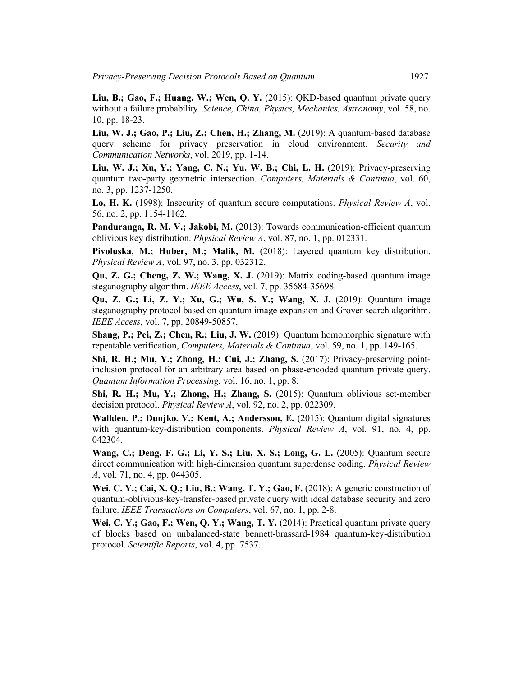**Liu, B.; Gao, F.; Huang, W.; Wen, Q. Y.** (2015): QKD-based quantum private query without a failure probability. *Science, China, Physics, Mechanics, Astronomy*, vol. 58, no. 10, pp. 18-23.

**Liu, W. J.; Gao, P.; Liu, Z.; Chen, H.; Zhang, M.** (2019): A quantum-based database query scheme for privacy preservation in cloud environment. *Security and Communication Networks*, vol. 2019, pp. 1-14.

**Liu, W. J.; Xu, Y.; Yang, C. N.; Yu. W. B.; Chi, L. H.** (2019): Privacy-preserving quantum two-party geometric intersection. *Computers, Materials & Continua*, vol. 60, no. 3, pp. 1237-1250.

**Lo, H. K.** (1998): Insecurity of quantum secure computations. *Physical Review A*, vol. 56, no. 2, pp. 1154-1162.

**Panduranga, R. M. V.; Jakobi, M.** (2013): Towards communication-efficient quantum oblivious key distribution. *Physical Review A*, vol. 87, no. 1, pp. 012331.

**Pivoluska, M.; Huber, M.; Malik, M.** (2018): Layered quantum key distribution. *Physical Review A*, vol. 97, no. 3, pp. 032312.

**Qu, Z. G.; Cheng, Z. W.; Wang, X. J.** (2019): Matrix coding-based quantum image steganography algorithm. *IEEE Access*, vol. 7, pp. 35684-35698.

**Qu, Z. G.; Li, Z. Y.; Xu, G.; Wu, S. Y.; Wang, X. J.** (2019): Quantum image steganography protocol based on quantum image expansion and Grover search algorithm. *IEEE Access*, vol. 7, pp. 20849-50857.

**Shang, P.; Pei, Z.; Chen, R.; Liu, J. W.** (2019): Quantum homomorphic signature with repeatable verification, *Computers, Materials & Continua*, vol. 59, no. 1, pp. 149-165.

**Shi, R. H.; Mu, Y.; Zhong, H.; Cui, J.; Zhang, S.** (2017): Privacy-preserving pointinclusion protocol for an arbitrary area based on phase-encoded quantum private query. *Quantum Information Processing*, vol. 16, no. 1, pp. 8.

**Shi, R. H.; Mu, Y.; Zhong, H.; Zhang, S.** (2015): Quantum oblivious set-member decision protocol. *Physical Review A*, vol. 92, no. 2, pp. 022309.

**Wallden, P.; Dunjko, V.; Kent, A.; Andersson, E.** (2015): Quantum digital signatures with quantum-key-distribution components. *Physical Review A*, vol. 91, no. 4, pp. 042304.

**Wang, C.; Deng, F. G.; Li, Y. S.; Liu, X. S.; Long, G. L.** (2005): Quantum secure direct communication with high-dimension quantum superdense coding. *Physical Review A*, vol. 71, no. 4, pp. 044305.

**Wei, C. Y.; Cai, X. Q.; Liu, B.; Wang, T. Y.; Gao, F.** (2018): A generic construction of quantum-oblivious-key-transfer-based private query with ideal database security and zero failure. *IEEE Transactions on Computers*, vol. 67, no. 1, pp. 2-8.

**Wei, C. Y.; Gao, F.; Wen, Q. Y.; Wang, T. Y.** (2014): Practical quantum private query of blocks based on unbalanced-state bennett-brassard-1984 quantum-key-distribution protocol. *Scientific Reports*, vol. 4, pp. 7537.